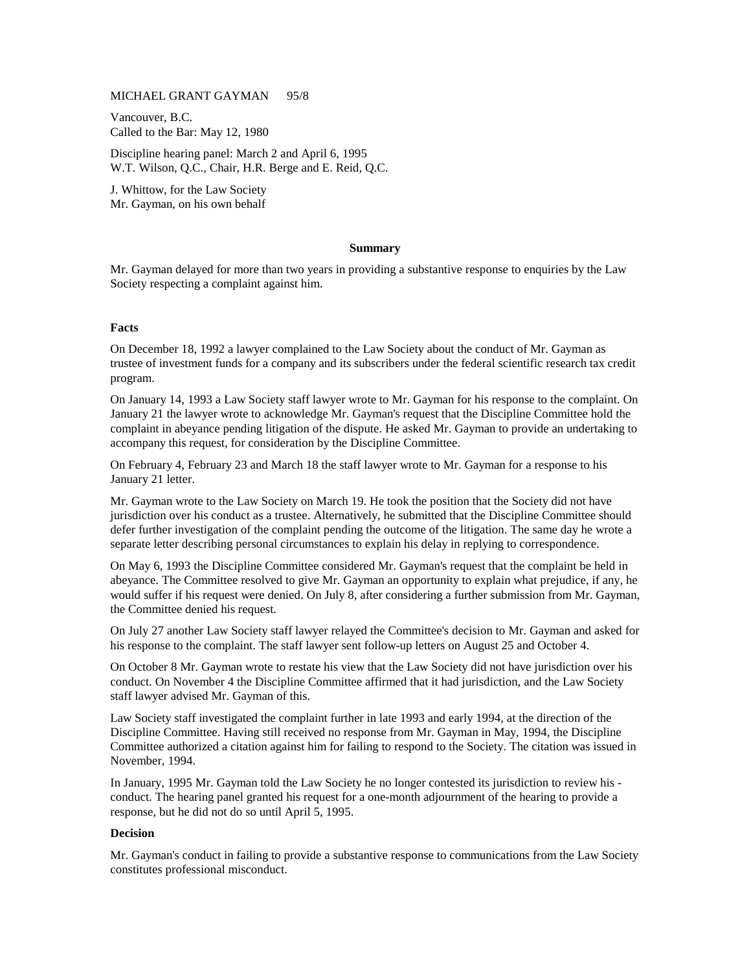## MICHAEL GRANT GAYMAN 95/8

Vancouver, B.C. Called to the Bar: May 12, 1980

Discipline hearing panel: March 2 and April 6, 1995 W.T. Wilson, Q.C., Chair, H.R. Berge and E. Reid, Q.C.

J. Whittow, for the Law Society Mr. Gayman, on his own behalf

### **Summary**

Mr. Gayman delayed for more than two years in providing a substantive response to enquiries by the Law Society respecting a complaint against him.

#### **Facts**

On December 18, 1992 a lawyer complained to the Law Society about the conduct of Mr. Gayman as trustee of investment funds for a company and its subscribers under the federal scientific research tax credit program.

On January 14, 1993 a Law Society staff lawyer wrote to Mr. Gayman for his response to the complaint. On January 21 the lawyer wrote to acknowledge Mr. Gayman's request that the Discipline Committee hold the complaint in abeyance pending litigation of the dispute. He asked Mr. Gayman to provide an undertaking to accompany this request, for consideration by the Discipline Committee.

On February 4, February 23 and March 18 the staff lawyer wrote to Mr. Gayman for a response to his January 21 letter.

Mr. Gayman wrote to the Law Society on March 19. He took the position that the Society did not have jurisdiction over his conduct as a trustee. Alternatively, he submitted that the Discipline Committee should defer further investigation of the complaint pending the outcome of the litigation. The same day he wrote a separate letter describing personal circumstances to explain his delay in replying to correspondence.

On May 6, 1993 the Discipline Committee considered Mr. Gayman's request that the complaint be held in abeyance. The Committee resolved to give Mr. Gayman an opportunity to explain what prejudice, if any, he would suffer if his request were denied. On July 8, after considering a further submission from Mr. Gayman, the Committee denied his request.

On July 27 another Law Society staff lawyer relayed the Committee's decision to Mr. Gayman and asked for his response to the complaint. The staff lawyer sent follow-up letters on August 25 and October 4.

On October 8 Mr. Gayman wrote to restate his view that the Law Society did not have jurisdiction over his conduct. On November 4 the Discipline Committee affirmed that it had jurisdiction, and the Law Society staff lawyer advised Mr. Gayman of this.

Law Society staff investigated the complaint further in late 1993 and early 1994, at the direction of the Discipline Committee. Having still received no response from Mr. Gayman in May, 1994, the Discipline Committee authorized a citation against him for failing to respond to the Society. The citation was issued in November, 1994.

In January, 1995 Mr. Gayman told the Law Society he no longer contested its jurisdiction to review his conduct. The hearing panel granted his request for a one-month adjournment of the hearing to provide a response, but he did not do so until April 5, 1995.

#### **Decision**

Mr. Gayman's conduct in failing to provide a substantive response to communications from the Law Society constitutes professional misconduct.